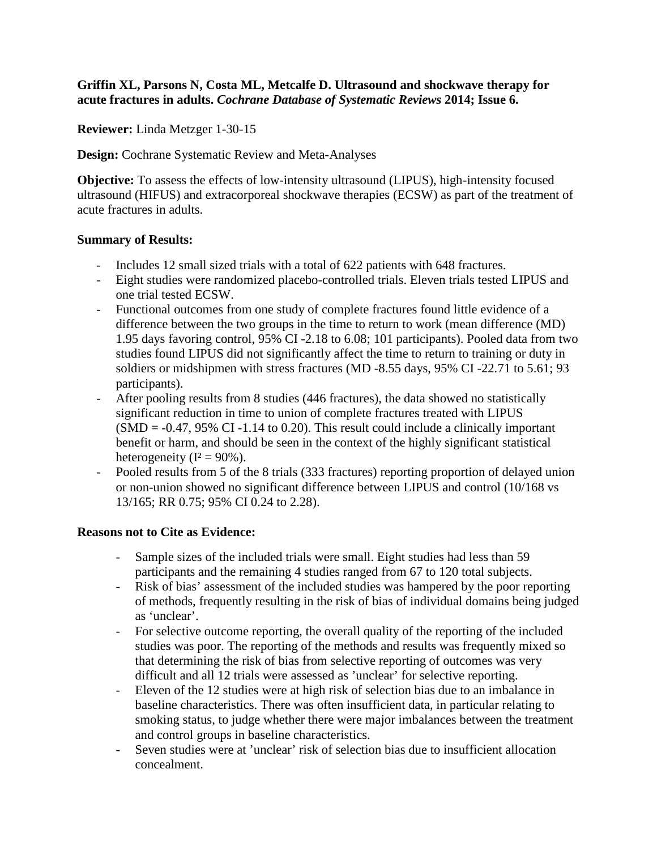## **Griffin XL, Parsons N, Costa ML, Metcalfe D. Ultrasound and shockwave therapy for acute fractures in adults.** *Cochrane Database of Systematic Reviews* **2014; Issue 6.**

**Reviewer:** Linda Metzger 1-30-15

**Design:** Cochrane Systematic Review and Meta-Analyses

**Objective:** To assess the effects of low-intensity ultrasound (LIPUS), high-intensity focused ultrasound (HIFUS) and extracorporeal shockwave therapies (ECSW) as part of the treatment of acute fractures in adults.

## **Summary of Results:**

- Includes 12 small sized trials with a total of 622 patients with 648 fractures.
- Eight studies were randomized placebo-controlled trials. Eleven trials tested LIPUS and one trial tested ECSW.
- Functional outcomes from one study of complete fractures found little evidence of a difference between the two groups in the time to return to work (mean difference (MD) 1.95 days favoring control, 95% CI -2.18 to 6.08; 101 participants). Pooled data from two studies found LIPUS did not significantly affect the time to return to training or duty in soldiers or midshipmen with stress fractures (MD -8.55 days, 95% CI -22.71 to 5.61; 93 participants).
- After pooling results from 8 studies (446 fractures), the data showed no statistically significant reduction in time to union of complete fractures treated with LIPUS  $(SMD = -0.47, 95\% \text{ CI} -1.14 \text{ to } 0.20)$ . This result could include a clinically important benefit or harm, and should be seen in the context of the highly significant statistical heterogeneity ( $I^2 = 90\%$ ).
- Pooled results from 5 of the 8 trials (333 fractures) reporting proportion of delayed union or non-union showed no significant difference between LIPUS and control (10/168 vs 13/165; RR 0.75; 95% CI 0.24 to 2.28).

## **Reasons not to Cite as Evidence:**

- Sample sizes of the included trials were small. Eight studies had less than 59 participants and the remaining 4 studies ranged from 67 to 120 total subjects.
- Risk of bias' assessment of the included studies was hampered by the poor reporting of methods, frequently resulting in the risk of bias of individual domains being judged as 'unclear'.
- For selective outcome reporting, the overall quality of the reporting of the included studies was poor. The reporting of the methods and results was frequently mixed so that determining the risk of bias from selective reporting of outcomes was very difficult and all 12 trials were assessed as 'unclear' for selective reporting.
- Eleven of the 12 studies were at high risk of selection bias due to an imbalance in baseline characteristics. There was often insufficient data, in particular relating to smoking status, to judge whether there were major imbalances between the treatment and control groups in baseline characteristics.
- Seven studies were at 'unclear' risk of selection bias due to insufficient allocation concealment.